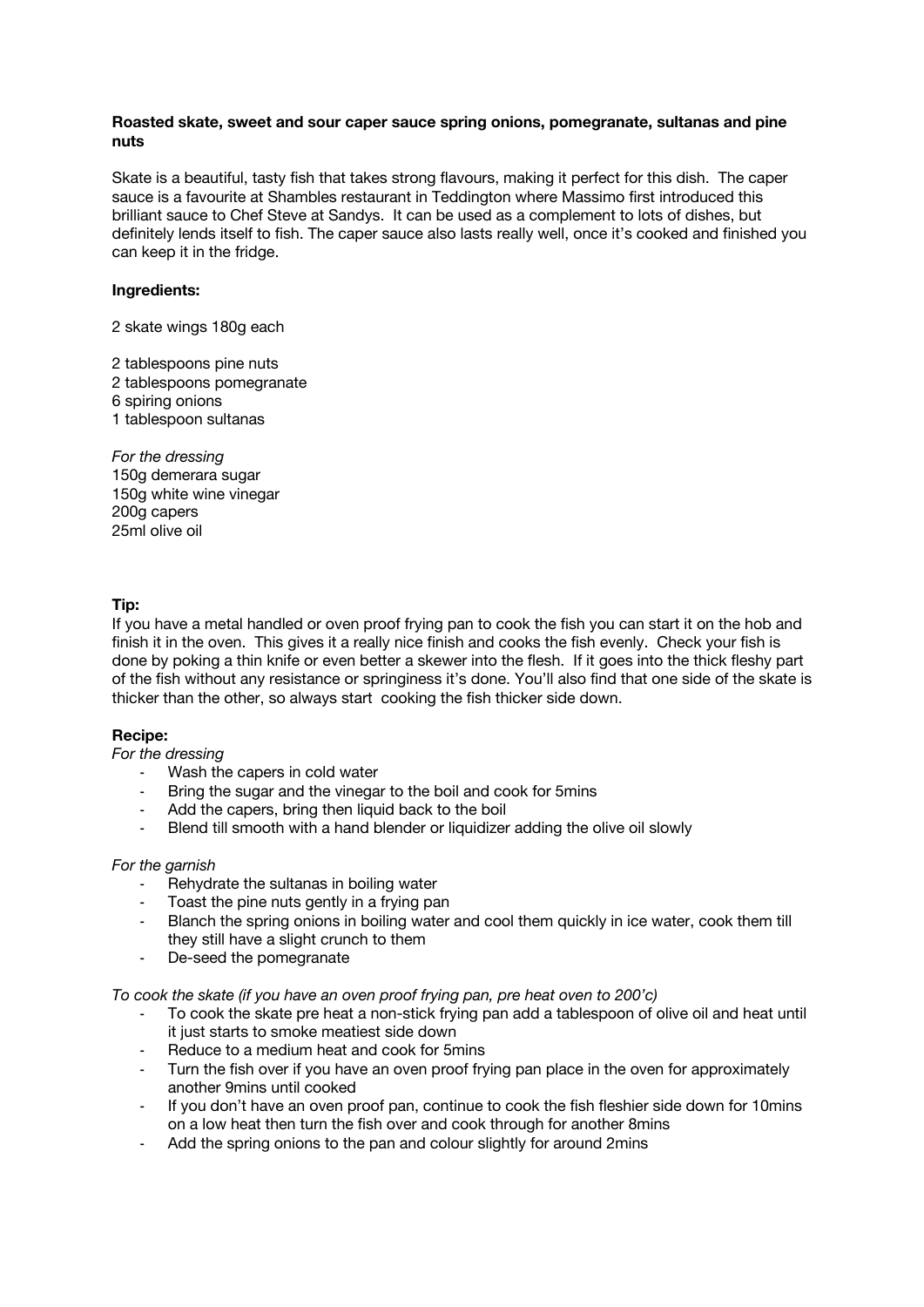## **Roasted skate, sweet and sour caper sauce spring onions, pomegranate, sultanas and pine nuts**

Skate is a beautiful, tasty fish that takes strong flavours, making it perfect for this dish. The caper sauce is a favourite at Shambles restaurant in Teddington where Massimo first introduced this brilliant sauce to Chef Steve at Sandys. It can be used as a complement to lots of dishes, but definitely lends itself to fish. The caper sauce also lasts really well, once it's cooked and finished you can keep it in the fridge.

## **Ingredients:**

2 skate wings 180g each

2 tablespoons pine nuts 2 tablespoons pomegranate 6 spiring onions 1 tablespoon sultanas

*For the dressing*  150g demerara sugar 150g white wine vinegar 200g capers 25ml olive oil

## **Tip:**

If you have a metal handled or oven proof frying pan to cook the fish you can start it on the hob and finish it in the oven. This gives it a really nice finish and cooks the fish evenly. Check your fish is done by poking a thin knife or even better a skewer into the flesh. If it goes into the thick fleshy part of the fish without any resistance or springiness it's done. You'll also find that one side of the skate is thicker than the other, so always start cooking the fish thicker side down.

# **Recipe:**

*For the dressing* 

- Wash the capers in cold water
- Bring the sugar and the vinegar to the boil and cook for 5mins
- Add the capers, bring then liquid back to the boil
- Blend till smooth with a hand blender or liquidizer adding the olive oil slowly

### *For the garnish*

- Rehydrate the sultanas in boiling water
- Toast the pine nuts gently in a frying pan
- Blanch the spring onions in boiling water and cool them quickly in ice water, cook them till they still have a slight crunch to them
- De-seed the pomegranate

### *To cook the skate (if you have an oven proof frying pan, pre heat oven to 200'c)*

- To cook the skate pre heat a non-stick frying pan add a tablespoon of olive oil and heat until it just starts to smoke meatiest side down
- Reduce to a medium heat and cook for 5mins
- Turn the fish over if you have an oven proof frying pan place in the oven for approximately another 9mins until cooked
- If you don't have an oven proof pan, continue to cook the fish fleshier side down for 10mins on a low heat then turn the fish over and cook through for another 8mins
- Add the spring onions to the pan and colour slightly for around 2mins